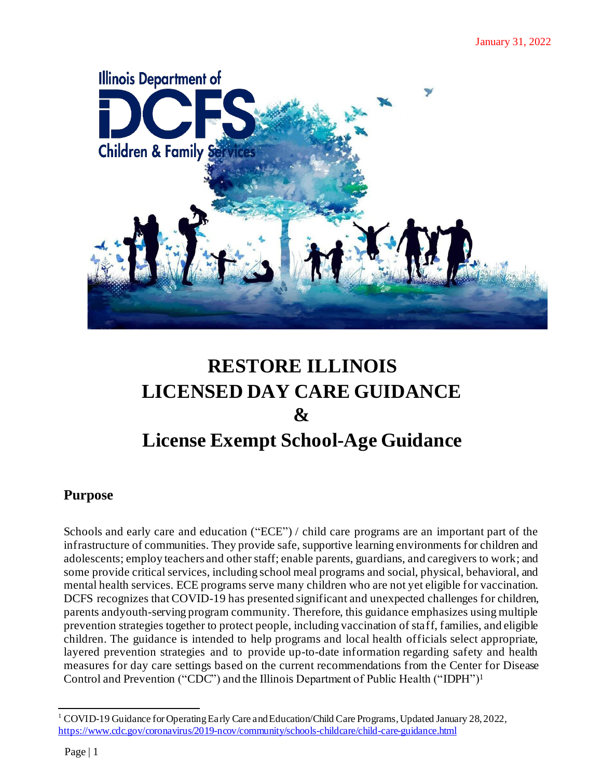

# **RESTORE ILLINOIS LICENSED DAY CARE GUIDANCE & License Exempt School-Age Guidance**

# **Purpose**

Schools and early care and education ("ECE") / child care programs are an important part of the infrastructure of communities. They provide safe, supportive learning environments for children and adolescents; employ teachers and other staff; enable parents, guardians, and caregivers to work; and some provide critical services, including school meal programs and social, physical, behavioral, and mental health services. ECE programs serve many children who are not yet eligible for vaccination. DCFS recognizes that COVID-19 has presented significant and unexpected challenges for children, parents andyouth-serving program community. Therefore, this guidance emphasizes using multiple prevention strategies together to protect people, including vaccination of staff, families, and eligible children. The guidance is intended to help programs and local health officials select appropriate, layered prevention strategies and to provide up-to-date information regarding safety and health measures for day care settings based on the current recommendations from the Center for Disease Control and Prevention ("CDC") and the Illinois Department of Public Health ("IDPH")<sup>1</sup>

<sup>&</sup>lt;sup>1</sup> COVID-19 Guidance for Operating Early Care and Education/Child Care Programs, Updated January 28, 2022, <https://www.cdc.gov/coronavirus/2019-ncov/community/schools-childcare/child-care-guidance.html>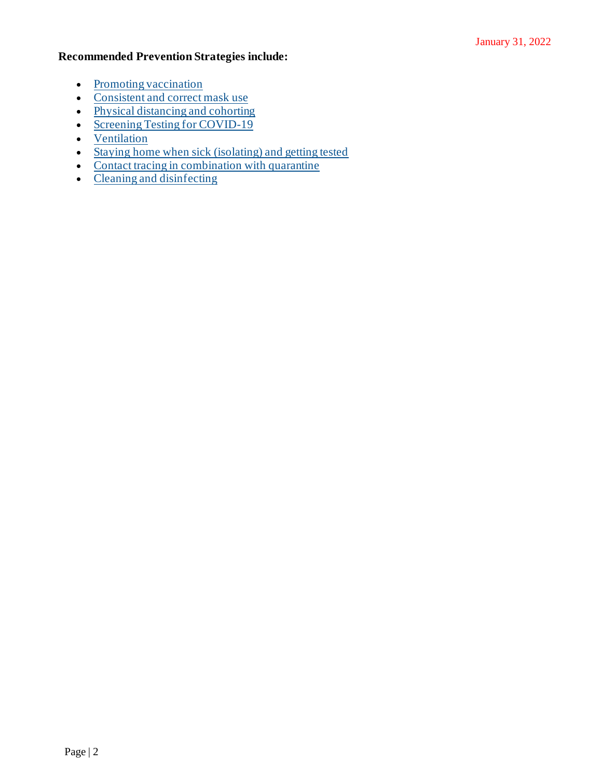# **Recommended Prevention Strategies include:**

- [Promoting vaccination](https://www.cdc.gov/coronavirus/2019-ncov/community/schools-childcare/child-care-guidance.html#promoting-vaccination)
- [Consistent and correct mask use](https://www.cdc.gov/coronavirus/2019-ncov/community/schools-childcare/child-care-guidance.html#mask-use)
- [Physical distancing and cohorting](https://www.cdc.gov/coronavirus/2019-ncov/community/schools-childcare/child-care-guidance.html#cohorting)
- [Screening Testing for COVID-19](https://www.cdc.gov/coronavirus/2019-ncov/community/schools-childcare/child-care-guidance.html#screening)
- [Ventilation](https://www.cdc.gov/coronavirus/2019-ncov/community/schools-childcare/child-care-guidance.html#ventilation)
- [Staying home when sick \(isolating\) and getting tested](https://www.cdc.gov/coronavirus/2019-ncov/community/schools-childcare/child-care-guidance.html#staying-home)
- [Contact tracing in combination with quarantine](https://www.cdc.gov/coronavirus/2019-ncov/community/schools-childcare/child-care-guidance.html#contact-tracing)
- [Cleaning and disinfecting](https://www.cdc.gov/coronavirus/2019-ncov/community/schools-childcare/child-care-guidance.html#cleaning-disinfecting)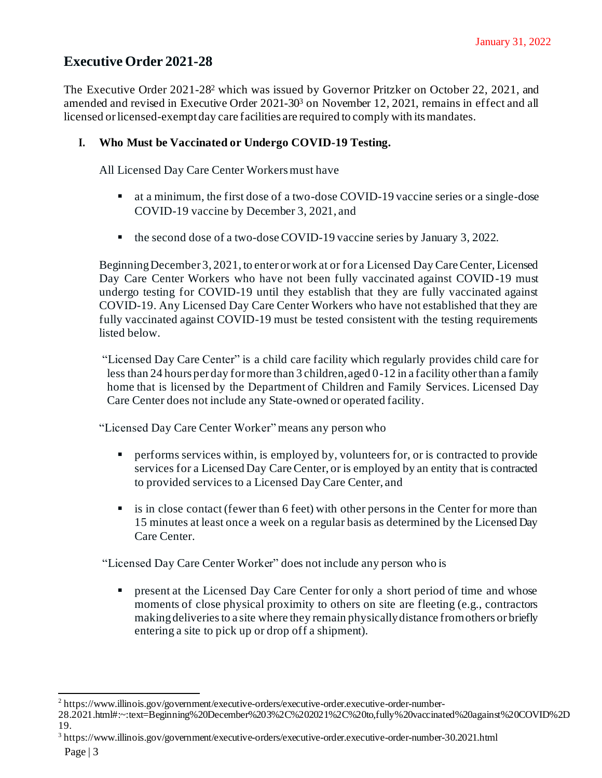# **Executive Order 2021-28**

The [Executive](https://www.illinois.gov/government/executive-orders/executive-order.executive-order-number-28.2021.html#:~:text=Beginning%20December%203%2C%202021%2C%20to,fully%20vaccinated%20against%20COVID%2D19.) Order 2021-28<sup>2</sup> which was issued by Governor Pritzker on October 22, 2021, and amended and revised in Executive Order 2021-30<sup>3</sup> on November 12, 2021, remains in effect and all licensed orlicensed-exempt day care facilities are required to comply with itsmandates.

# **I. Who Must be Vaccinated or Undergo COVID-19 Testing.**

All Licensed Day Care Center Workers must have

- at a minimum, the first dose of a two-dose COVID-19 vaccine series or a single-dose COVID-19 vaccine by December 3, 2021, and
- the second dose of a two-dose COVID-19 vaccine series by January 3, 2022.

BeginningDecember 3, 2021, to enter orwork at or for a Licensed Day CareCenter, Licensed Day Care Center Workers who have not been fully vaccinated against COVID-19 must undergo testing for COVID-19 until they establish that they are fully vaccinated against COVID-19. Any Licensed Day Care Center Workers who have not established that they are fully vaccinated against COVID-19 must be tested consistent with the testing requirements listed below.

"Licensed Day Care Center" is a child care facility which regularly provides child care for less than 24 hours per day for more than 3 children, aged 0-12 in a facility other than a family home that is licensed by the Department of Children and Family Services. Licensed Day Care Center does not include any State-owned or operated facility.

"Licensed Day Care Center Worker" means any person who

- **•** performs services within, is employed by, volunteers for, or is contracted to provide services for a Licensed Day Care Center, or is employed by an entity that is contracted to provided services to a Licensed Day Care Center, and
- **E** is in close contact (fewer than 6 feet) with other persons in the Center for more than 15 minutes at least once a week on a regular basis as determined by the Licensed Day Care Center.

"Licensed Day Care Center Worker" does not include any person who is

**•** present at the Licensed Day Care Center for only a short period of time and whose moments of close physical proximity to others on site are fleeting (e.g., contractors makingdeliveriesto a site where they remain physicallydistance fromothers or briefly entering a site to pick up or drop off a shipment).

<sup>&</sup>lt;sup>2</sup> https://www.illinois.gov/government/executive-orders/executive-order.executive-order-number-

<sup>28.2021.</sup>html#:~:text=Beginning%20December%203%2C%202021%2C%20to,fully%20vaccinated%20against%20COVID%2D 19.

<sup>&</sup>lt;sup>3</sup> https://www.illinois.gov/government/executive-orders/executive-order.executive-order-number-30.2021.html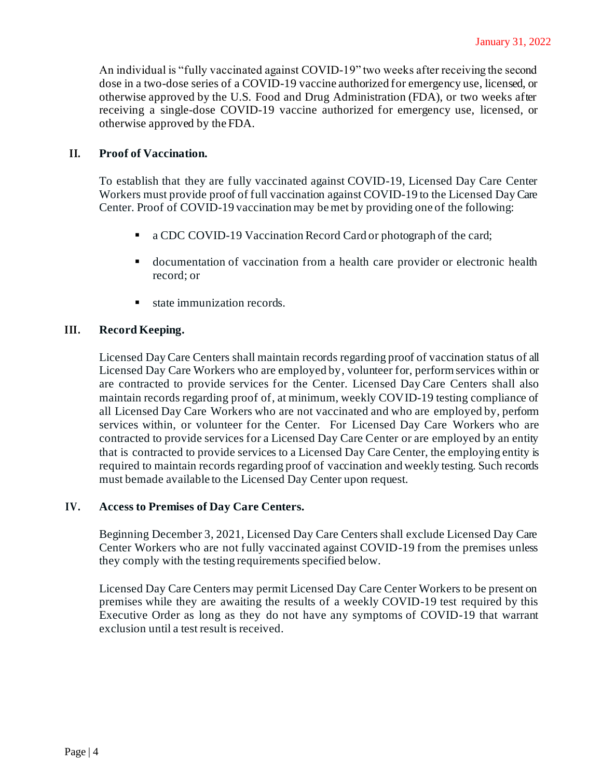An individual is "fully vaccinated against COVID-19" two weeks after receiving the second dose in a two-dose series of a COVID-19 vaccine authorized for emergency use, licensed, or otherwise approved by the U.S. Food and Drug Administration (FDA), or two weeks after receiving a single-dose COVID-19 vaccine authorized for emergency use, licensed, or otherwise approved by the FDA.

### **II. Proof of Vaccination.**

To establish that they are fully vaccinated against COVID-19, Licensed Day Care Center Workers must provide proof of full vaccination against COVID-19 to the Licensed Day Care Center. Proof of COVID-19 vaccination may bemet by providing one of the following:

- a CDC COVID-19 Vaccination Record Card or photograph of the card;
- documentation of vaccination from a health care provider or electronic health record; or
- state immunization records.

### **III. Record Keeping.**

Licensed Day Care Centers shall maintain records regarding proof of vaccination status of all Licensed Day Care Workers who are employed by, volunteer for, perform services within or are contracted to provide services for the Center. Licensed Day Care Centers shall also maintain records regarding proof of, at minimum, weekly COVID-19 testing compliance of all Licensed Day Care Workers who are not vaccinated and who are employed by, perform services within, or volunteer for the Center. For Licensed Day Care Workers who are contracted to provide services for a Licensed Day Care Center or are employed by an entity that is contracted to provide services to a Licensed Day Care Center, the employing entity is required to maintain records regarding proof of vaccination and weekly testing. Such records must bemade available to the Licensed Day Center upon request.

#### **IV. Access to Premises of Day Care Centers.**

Beginning December 3, 2021, Licensed Day Care Centers shall exclude Licensed Day Care Center Workers who are not fully vaccinated against COVID-19 from the premises unless they comply with the testing requirements specified below.

Licensed Day Care Centers may permit Licensed Day Care Center Workers to be present on premises while they are awaiting the results of a weekly COVID-19 test required by this Executive Order as long as they do not have any symptoms of COVID-19 that warrant exclusion until a test result is received.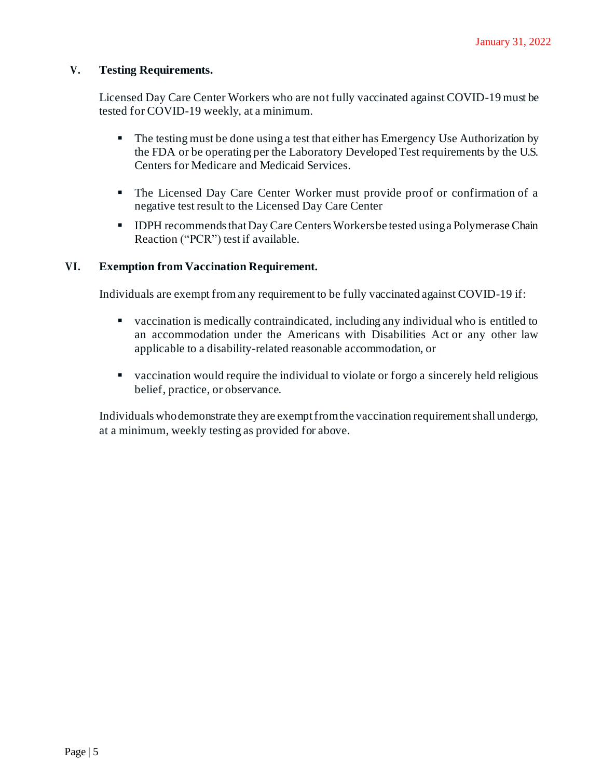### **V. Testing Requirements.**

Licensed Day Care Center Workers who are not fully vaccinated against COVID-19 must be tested for COVID-19 weekly, at a minimum.

- The testing must be done using a test that either has Emergency Use Authorization by the FDA or be operating per the Laboratory Developed Test requirements by the U.S. Centers for Medicare and Medicaid Services.
- The Licensed Day Care Center Worker must provide proof or confirmation of a negative test result to the Licensed Day Care Center
- IDPH recommends that Day Care Centers Workers be tested using a Polymerase Chain Reaction ("PCR") test if available.

### **VI. Exemption from Vaccination Requirement.**

Individuals are exempt from any requirement to be fully vaccinated against COVID-19 if:

- vaccination is medically contraindicated, including any individual who is entitled to an accommodation under the Americans with Disabilities Act or any other law applicable to a disability-related reasonable accommodation, or
- vaccination would require the individual to violate or forgo a sincerely held religious belief, practice, or observance.

Individuals whodemonstrate they are exemptfromthe vaccination requirementshall undergo, at a minimum, weekly testing as provided for above.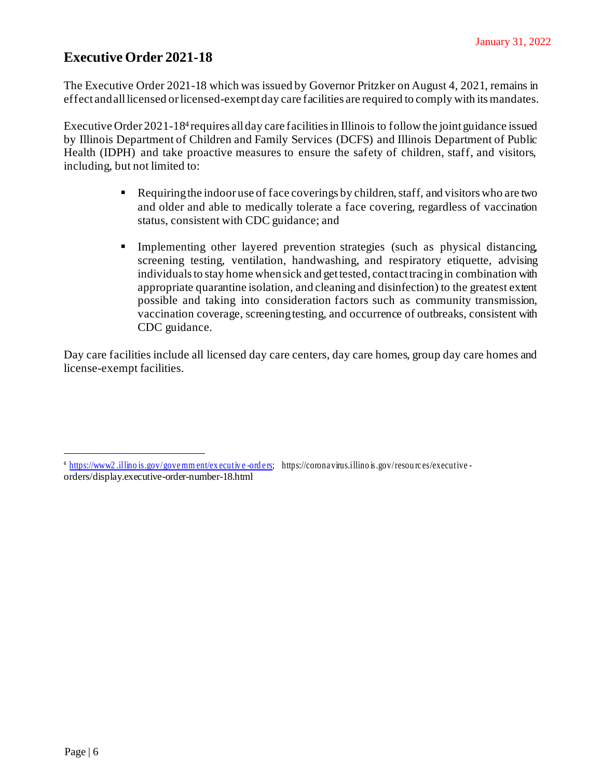# **Executive Order 2021-18**

The Executive Order 2021-18 which was issued by Governor Pritzker on August 4, 2021, remains in effect and all licensed or licensed-exempt day care facilities are required to comply with its mandates.

[Executive](https://www2.illinois.gov/government/executive-orders) Order 2021-18<sup>4</sup> requires all day care facilities in Illinois to follow the joint guidance issued by Illinois Department of Children and Family Services (DCFS) and Illinois Department of Public Health (IDPH) and take proactive measures to ensure the safety of children, staff, and visitors, including, but not limited to:

- $\blacksquare$  Requiring the indoor use of face coverings by children, staff, and visitors who are two and older and able to medically tolerate a face covering, regardless of vaccination status, consistent with CDC guidance; and
- **•** Implementing other layered prevention strategies (such as physical distancing, screening testing, ventilation, handwashing, and respiratory etiquette, advising individuals to stay home when sick and get tested, contact tracing in combination with appropriate quarantine isolation, and cleaning and disinfection) to the greatest extent possible and taking into consideration factors such as community transmission, vaccination coverage, screeningtesting, and occurrence of outbreaks, consistent with CDC guidance.

Day care facilities include all licensed day care centers, day care homes, group day care homes and license-exempt facilities.

<sup>&</sup>lt;sup>4</sup> https://www2.illino is.gov/govemm ent/ex ecutive -ord ers; https://corona virus.illino is.gov/resou rc es/executive orders/display.executive-order-number-18.html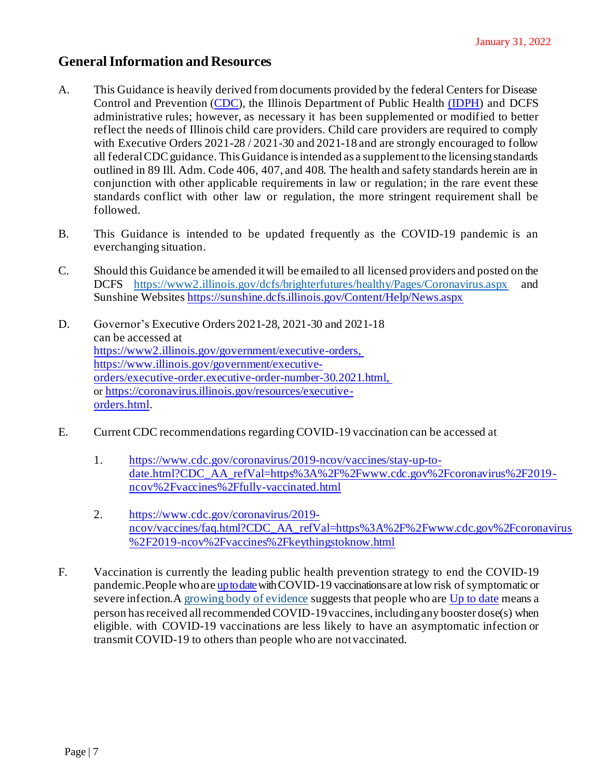# **GeneralInformation and Resources**

- A. This Guidance is heavily derived from documents provided by the federal Centers for Disease Control and Prevention [\(CDC\)](https://www.cdc.gov/coronavirus/2019-ncov/community/schools-childcare/child-care-guidance.html), the Illinois Department of Public Health [\(IDPH\)](http://www.dph.illinois.gov/covid19/community-guidance/guidance-pre-k-12-schools-and-day-care-programs-addressing-covid-19) and DCFS administrative rules; however, as necessary it has been supplemented or modified to better reflect the needs of Illinois child care providers. Child care providers are required to comply with Executive Orders 2021-28 / 2021-30 and 2021-18 and are strongly encouraged to follow all federal CDC guidance. This Guidance is intended as a supplement to the licensing standards outlined in 89 Ill. Adm. Code 406, 407, and 408. The health and safety standards herein are in conjunction with other applicable requirements in law or regulation; in the rare event these standards conflict with other law or regulation, the more stringent requirement shall be followed.
- B. This Guidance is intended to be updated frequently as the COVID-19 pandemic is an everchanging situation.
- C. Should this Guidance be amended itwill be emailed to all licensed providers and posted on the DCFS https://www2.illinois.gov/dcfs/brighterfutures/healthy/Pages/Coronavirus.aspx and Sunshine Websites <https://sunshine.dcfs.illinois.gov/Content/Help/News.aspx>
- D. Governor's Executive Orders 2021-28, 2021-30 and 2021-18 can be accessed at [https://www2.illinois.gov/government/executive-orders,](https://www2.illinois.gov/government/executive-orders,%20https:/www.illinois.gov/government/executive-orders/executive-order.executive-order-number-30.2021.html,)  [https://www.illinois.gov/government/executive](https://www2.illinois.gov/government/executive-orders,%20https:/www.illinois.gov/government/executive-orders/executive-order.executive-order-number-30.2021.html,)[orders/executive-order.executive-order-number-30.2021.html,](https://www2.illinois.gov/government/executive-orders,%20https:/www.illinois.gov/government/executive-orders/executive-order.executive-order-number-30.2021.html,) or [https://coronavirus.illinois.gov/resources/executive](https://coronavirus.illinois.gov/resources/executive-orders.html)[orders.html](https://coronavirus.illinois.gov/resources/executive-orders.html).
- E. Current CDC recommendations regarding COVID-19 vaccination can be accessed at
	- 1. [https://www.cdc.gov/coronavirus/2019-ncov/vaccines/stay-up-to](https://www.cdc.gov/coronavirus/2019-ncov/vaccines/stay-up-to-date.html?CDC_AA_refVal=https%3A%2F%2Fwww.cdc.gov%2Fcoronavirus%2F2019-ncov%2Fvaccines%2Ffully-vaccinated.html)[date.html?CDC\\_AA\\_refVal=https%3A%2F%2Fwww.cdc.gov%2Fcoronavirus%2F2019](https://www.cdc.gov/coronavirus/2019-ncov/vaccines/stay-up-to-date.html?CDC_AA_refVal=https%3A%2F%2Fwww.cdc.gov%2Fcoronavirus%2F2019-ncov%2Fvaccines%2Ffully-vaccinated.html) [ncov%2Fvaccines%2Ffully-vaccinated.html](https://www.cdc.gov/coronavirus/2019-ncov/vaccines/stay-up-to-date.html?CDC_AA_refVal=https%3A%2F%2Fwww.cdc.gov%2Fcoronavirus%2F2019-ncov%2Fvaccines%2Ffully-vaccinated.html)
	- 2. [https://www.cdc.gov/coronavirus/2019](https://www.cdc.gov/coronavirus/2019-ncov/vaccines/faq.html?CDC_AA_refVal=https%3A%2F%2Fwww.cdc.gov%2Fcoronavirus%2F2019-ncov%2Fvaccines%2Fkeythingstoknow.html) [ncov/vaccines/faq.html?CDC\\_AA\\_refVal=https%3A%2F%2Fwww.cdc.gov%2Fcoronavirus](https://www.cdc.gov/coronavirus/2019-ncov/vaccines/faq.html?CDC_AA_refVal=https%3A%2F%2Fwww.cdc.gov%2Fcoronavirus%2F2019-ncov%2Fvaccines%2Fkeythingstoknow.html) [%2F2019-ncov%2Fvaccines%2Fkeythingstoknow.html](https://www.cdc.gov/coronavirus/2019-ncov/vaccines/faq.html?CDC_AA_refVal=https%3A%2F%2Fwww.cdc.gov%2Fcoronavirus%2F2019-ncov%2Fvaccines%2Fkeythingstoknow.html)
- F. Vaccination is currently the leading public health prevention strategy to end the COVID-19 pandemic.People whoare [up to date](https://www.cdc.gov/coronavirus/2019-ncov/vaccines/stay-up-to-date.html)withCOVID-19 vaccinations are atlow risk of symptomatic or severe infection. [A growing body of evidence](https://www.cdc.gov/coronavirus/2019-ncov/science/science-briefs/fully-vaccinated-people.html) suggests that people who ar[e Up to date](https://www.cdc.gov/coronavirus/2019-ncov/vaccines/stay-up-to-date.html) means a person has received all recommended COVID-19 vaccines, including any booster dose(s) when eligible. with COVID-19 vaccinations are less likely to have an asymptomatic infection or transmit COVID-19 to others than people who are notvaccinated.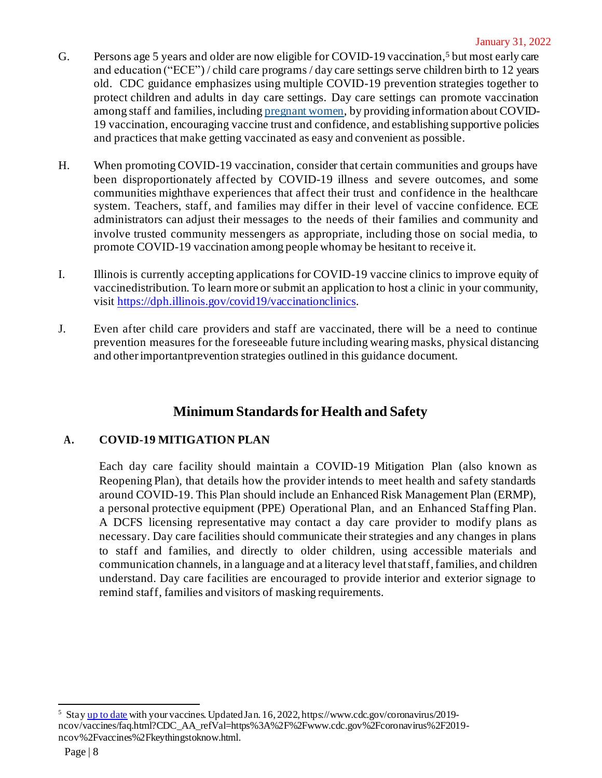- G. Persons age 5 years and older are now eligible for COVID-19 vaccination,<sup>5</sup> but most early care and education ("ECE") / child care programs / day care settings serve children birth to 12 years old. CDC guidance emphasizes using multiple COVID-19 prevention strategies together to protect children and adults in day care settings. Day care settings can promote vaccination among staff and families, includin[g pregnant women](https://www.cdc.gov/coronavirus/2019-ncov/vaccines/recommendations/pregnancy.html), by providing information about COVID-19 vaccination, encouraging vaccine trust and confidence, and establishing supportive policies and practices that make getting vaccinated as easy and convenient as possible.
- H. When promoting COVID-19 vaccination, consider that certain communities and groups have been disproportionately affected by COVID-19 illness and severe outcomes, and some communities mighthave experiences that affect their trust and confidence in the healthcare system. Teachers, staff, and families may differ in their level of vaccine confidence. ECE administrators can adjust their messages to the needs of their families and community and involve trusted community messengers as appropriate, including those on social media, to promote COVID-19 vaccination among people whomay be hesitant to receive it.
- I. Illinois is currently accepting applications for COVID-19 vaccine clinics to improve equity of vaccinedistribution. To learn more or submit an application to host a clinic in your community, visit <https://dph.illinois.gov/covid19/vaccinationclinics>.
- J. Even after child care providers and staff are vaccinated, there will be a need to continue prevention measures for the foreseeable future including wearing masks, physical distancing and otherimportantprevention strategies outlined in this guidance document.

# **Minimum Standardsfor Health and Safety**

# **A. COVID-19 MITIGATION PLAN**

Each day care facility should maintain a COVID-19 Mitigation Plan (also known as Reopening Plan), that details how the provider intends to meet health and safety standards around COVID-19. This Plan should include an Enhanced Risk Management Plan (ERMP), a personal protective equipment (PPE) Operational Plan, and an Enhanced Staffing Plan. A DCFS licensing representative may contact a day care provider to modify plans as necessary. Day care facilities should communicate their strategies and any changes in plans to staff and families, and directly to older children, using accessible materials and communication channels, in a language and at a literacy level thatstaff,families, and children understand. Day care facilities are encouraged to provide interior and exterior signage to remind staff, families and visitors of masking requirements.

<sup>&</sup>lt;sup>5</sup> Sta[y up to date](https://www.cdc.gov/coronavirus/2019-ncov/vaccines/stay-up-to-date.html) with your vaccines. Updated Jan. 16, 2022, https://www.cdc.gov/coronavirus/2019ncov/vaccines/faq.html?CDC\_AA\_refVal=https%3A%2F%2Fwww.cdc.gov%2Fcoronavirus%2F2019 ncov%2Fvaccines%2Fkeythingstoknow.html.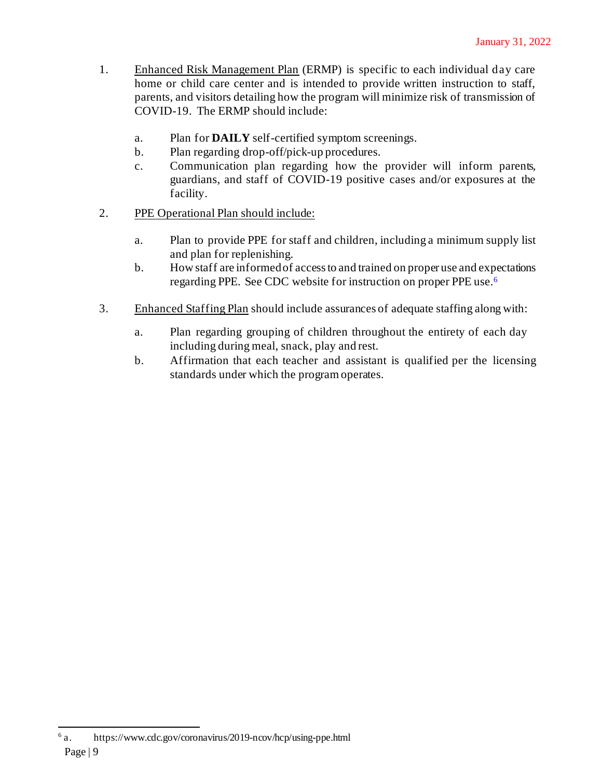- 1. Enhanced Risk Management Plan (ERMP) is specific to each individual day care home or child care center and is intended to provide written instruction to staff, parents, and visitors detailing how the program will minimize risk of transmission of COVID-19. The ERMP should include:
	- a. Plan for **DAILY** self-certified symptom screenings.
	- b. Plan regarding drop-off/pick-up procedures.
	- c. Communication plan regarding how the provider will inform parents, guardians, and staff of COVID-19 positive cases and/or exposures at the facility.
- 2. PPE Operational Plan should include:
	- a. Plan to provide PPE for staff and children, including a minimum supply list and plan for replenishing.
	- b. How staff are informedof accessto and trained on proper use and expectations regarding PPE. See CDC website for instruction on proper PPE use.<sup>6</sup>
- 3. Enhanced Staffing Plan should include assurances of adequate staffing along with:
	- a. Plan regarding grouping of children throughout the entirety of each day including during meal, snack, play and rest.
	- b. Affirmation that each teacher and assistant is qualified per the licensing standards under which the program operates.

Page | 9  $6a$ . a. https://www.cdc.gov/coronavirus/2019-ncov/hcp/using-ppe.html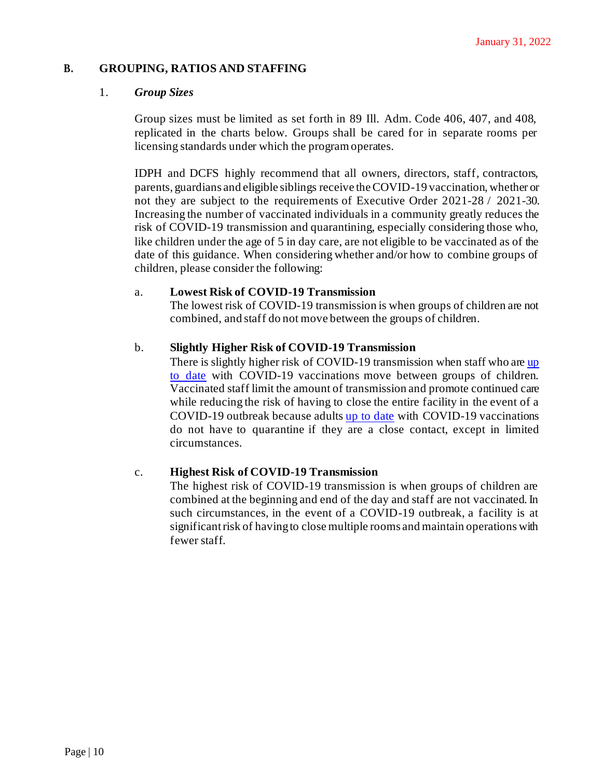### **B. GROUPING, RATIOS AND STAFFING**

#### 1. *Group Sizes*

Group sizes must be limited as set forth in 89 Ill. Adm. Code 406, 407, and 408, replicated in the charts below. Groups shall be cared for in separate rooms per licensing standards under which the program operates.

IDPH and DCFS highly recommend that all owners, directors, staff, contractors, parents, guardians and eligible siblings receive the COVID-19 vaccination, whether or not they are subject to the requirements of Executive Order 2021-28 / 2021-30. Increasing the number of vaccinated individuals in a community greatly reduces the risk of COVID-19 transmission and quarantining, especially considering those who, like children under the age of 5 in day care, are not eligible to be vaccinated as of the date of this guidance. When considering whether and/or how to combine groups of children, please consider the following:

#### a. **Lowest Risk of COVID-19 Transmission**

The lowest risk of COVID-19 transmission is when groups of children are not combined, and staff do not move between the groups of children.

#### b. **Slightly Higher Risk of COVID-19 Transmission**

There is slightly higher risk of COVID-19 transmission when staff who are up [to date](https://www.cdc.gov/coronavirus/2019-ncov/vaccines/stay-up-to-date.html) with COVID-19 vaccinations move between groups of children. Vaccinated staff limit the amount of transmission and promote continued care while reducing the risk of having to close the entire facility in the event of a COVID-19 outbreak because adult[s up to date](https://www.cdc.gov/coronavirus/2019-ncov/vaccines/stay-up-to-date.html) with COVID-19 vaccinations do not have to quarantine if they are a close contact, except in limited circumstances.

#### c. **Highest Risk of COVID-19 Transmission**

The highest risk of COVID-19 transmission is when groups of children are combined at the beginning and end of the day and staff are not vaccinated.In such circumstances, in the event of a COVID-19 outbreak, a facility is at significantrisk of havingto close multiple rooms and maintain operations with fewer staff.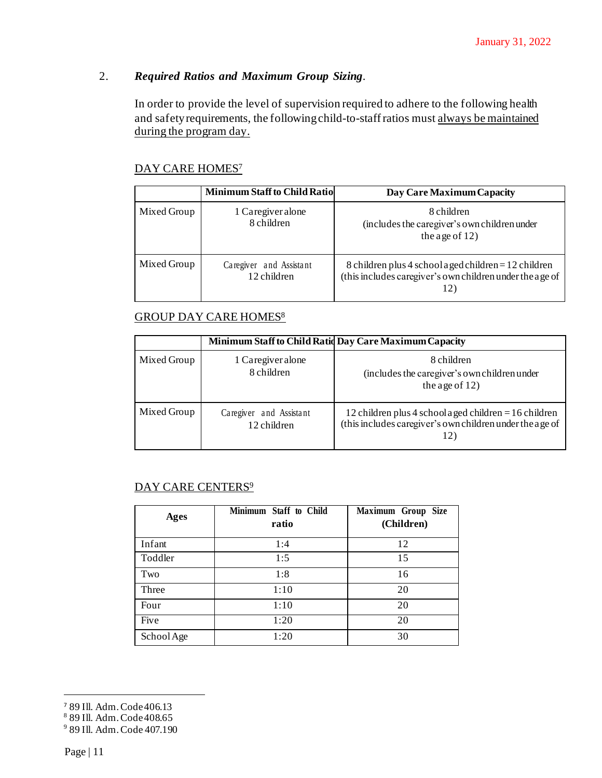# 2. *Required Ratios and Maximum Group Sizing.*

In order to provide the level of supervision required to adhere to the following health and safety requirements, the following child-to-staff ratios must always be maintained during the program day.

### DAY CARE HOMES<sup>7</sup>

|             | <b>Minimum Staff to Child Ratio</b>    | Day Care Maximum Capacity                                                                                                  |
|-------------|----------------------------------------|----------------------------------------------------------------------------------------------------------------------------|
| Mixed Group | 1 Caregiver alone<br>8 children        | 8 children<br>(includes the caregiver's own children under<br>the age of $12$ )                                            |
| Mixed Group | Caregiver and Assistant<br>12 children | 8 children plus 4 school a ged children $= 12$ children<br>(this includes caregiver's own children under the age of<br>12) |

### GROUP DAY CARE HOMES<sup>8</sup>

|             |                                        | Minimum Staff to Child Ratid Day Care Maximum Capacity                                                                      |
|-------------|----------------------------------------|-----------------------------------------------------------------------------------------------------------------------------|
| Mixed Group | 1 Caregiver alone<br>8 children        | 8 children<br>(includes the caregiver's own children under<br>the age of $12$ )                                             |
| Mixed Group | Caregiver and Assistant<br>12 children | 12 children plus 4 school a ged children $= 16$ children<br>(this includes caregiver's own children under the age of<br>12) |

## DAY CARE CENTERS<sup>9</sup>

| <b>Ages</b> | Minimum Staff to Child<br>ratio | Maximum Group Size<br>(Children) |
|-------------|---------------------------------|----------------------------------|
| Infant      | 1:4                             | 12                               |
| Toddler     | 1:5                             | 15                               |
| Two         | 1:8                             | 16                               |
| Three       | 1:10                            | 20                               |
| Four        | 1:10                            | 20                               |
| Five        | 1:20                            | 20                               |
| School Age  | 1:20                            | 30                               |

<sup>7</sup> 89 Ill. Adm. Code406.13

<sup>8</sup> 89 Ill. Adm. Code408.65

<sup>9</sup> 89 Ill. Adm.Code 407.190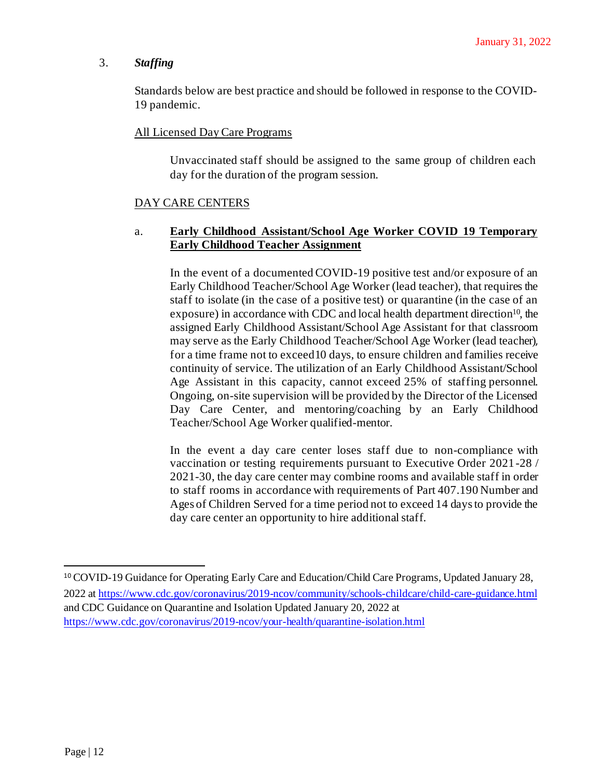#### 3. *Staffing*

Standards below are best practice and should be followed in response to the COVID-19 pandemic.

#### All Licensed Day Care Programs

Unvaccinated staff should be assigned to the same group of children each day for the duration of the program session.

#### DAY CARE CENTERS

#### a. **Early Childhood Assistant/School Age Worker COVID 19 Temporary Early Childhood Teacher Assignment**

In the event of a documented COVID-19 positive test and/or exposure of an Early Childhood Teacher/School Age Worker (lead teacher), that requires the staff to isolate (in the case of a positive test) or quarantine (in the case of an exposure) in accordance with CDC and local health department direction<sup>10</sup>, the assigned Early Childhood Assistant/School Age Assistant for that classroom may serve as the Early Childhood Teacher/School Age Worker (lead teacher), for a time frame not to exceed10 days, to ensure children and families receive continuity of service. The utilization of an Early Childhood Assistant/School Age Assistant in this capacity, cannot exceed 25% of staffing personnel. Ongoing, on-site supervision will be provided by the Director of the Licensed Day Care Center, and mentoring/coaching by an Early Childhood Teacher/School Age Worker qualified-mentor.

In the event a day care center loses staff due to non-compliance with vaccination or testing requirements pursuant to Executive Order 2021-28 / 2021-30, the day care center may combine rooms and available staff in order to staff rooms in accordance with requirements of Part 407.190 Number and Ages of Children Served for a time period not to exceed 14 days to provide the day care center an opportunity to hire additional staff.

<sup>10</sup> COVID-19 Guidance for Operating Early Care and Education/Child Care Programs, Updated January 28, 2022 at<https://www.cdc.gov/coronavirus/2019-ncov/community/schools-childcare/child-care-guidance.html> and CDC Guidance on Quarantine and Isolation Updated January 20, 2022 at <https://www.cdc.gov/coronavirus/2019-ncov/your-health/quarantine-isolation.html>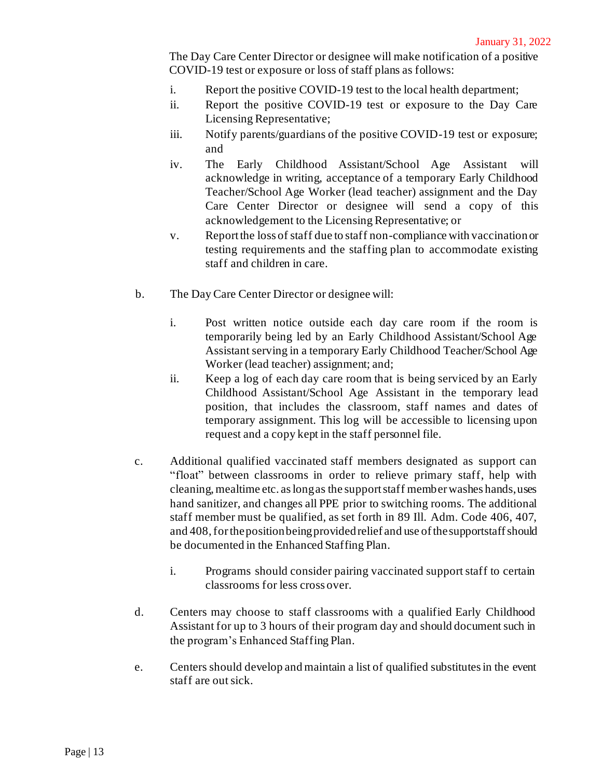The Day Care Center Director or designee will make notification of a positive COVID-19 test or exposure or loss of staff plans as follows:

- i. Report the positive COVID-19 test to the local health department;
- ii. Report the positive COVID-19 test or exposure to the Day Care Licensing Representative;
- iii. Notify parents/guardians of the positive COVID-19 test or exposure; and
- iv. The Early Childhood Assistant/School Age Assistant will acknowledge in writing, acceptance of a temporary Early Childhood Teacher/School Age Worker (lead teacher) assignment and the Day Care Center Director or designee will send a copy of this acknowledgement to the Licensing Representative; or
- v. Report the loss of staff due to staff non-compliance with vaccination or testing requirements and the staffing plan to accommodate existing staff and children in care.
- b. The Day Care Center Director or designee will:
	- i. Post written notice outside each day care room if the room is temporarily being led by an Early Childhood Assistant/School Age Assistant serving in a temporary Early Childhood Teacher/School Age Worker (lead teacher) assignment; and;
	- ii. Keep a log of each day care room that is being serviced by an Early Childhood Assistant/School Age Assistant in the temporary lead position, that includes the classroom, staff names and dates of temporary assignment. This log will be accessible to licensing upon request and a copy kept in the staff personnel file.
- c. Additional qualified vaccinated staff members designated as support can "float" between classrooms in order to relieve primary staff, help with cleaning, mealtime etc. as long as the support staff member washes hands, uses hand sanitizer, and changes all PPE prior to switching rooms. The additional staff member must be qualified, as set forth in 89 Ill. Adm. Code 406, 407, and 408, for the position being provided relief and use of the supportstaff should be documented in the Enhanced Staffing Plan.
	- i. Programs should consider pairing vaccinated support staff to certain classrooms for less cross over.
- d. Centers may choose to staff classrooms with a qualified Early Childhood Assistant for up to 3 hours of their program day and should document such in the program's Enhanced Staffing Plan.
- e. Centers should develop and maintain a list of qualified substitutes in the event staff are out sick.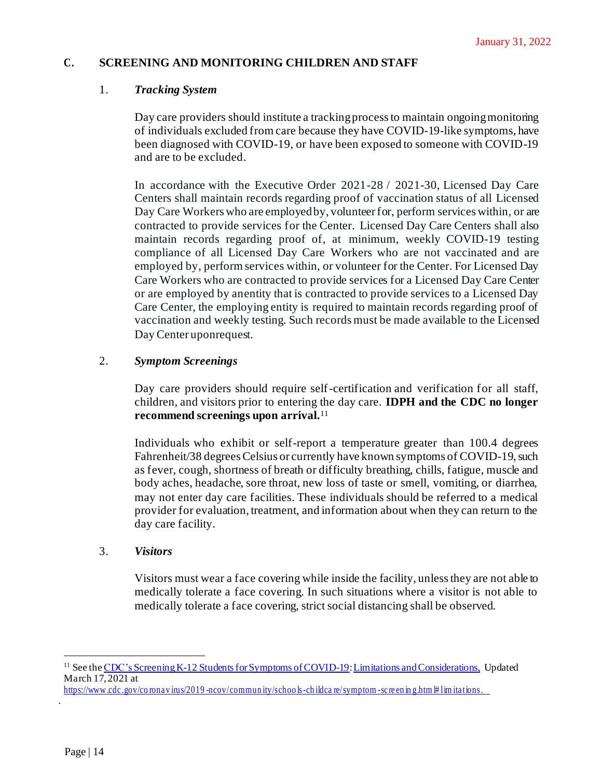#### **C. SCREENING AND MONITORING CHILDREN AND STAFF**

#### 1. *Tracking System*

Day care providers should institute a tracking process to maintain ongoing monitoring of individuals excluded from care because they have COVID-19-like symptoms, have been diagnosed with COVID-19, or have been exposed to someone with COVID-19 and are to be excluded.

In accordance with the Executive Order 2021-28 / 2021-30, Licensed Day Care Centers shall maintain records regarding proof of vaccination status of all Licensed Day Care Workers who are employed by, volunteer for, perform services within, or are contracted to provide services for the Center. Licensed Day Care Centers shall also maintain records regarding proof of, at minimum, weekly COVID-19 testing compliance of all Licensed Day Care Workers who are not vaccinated and are employed by, perform services within, or volunteer for the Center. For Licensed Day Care Workers who are contracted to provide services for a Licensed Day Care Center or are employed by anentity that is contracted to provide services to a Licensed Day Care Center, the employing entity is required to maintain records regarding proof of vaccination and weekly testing. Such recordsmust be made available to the Licensed Day Center uponrequest.

#### 2. *Symptom Screenings*

Day care providers should require self-certification and verification for all staff, children, and visitors prior to entering the day care. **IDPH and the CDC no longer recommend screenings upon arrival.**<sup>11</sup>

Individuals who exhibit or self-report a temperature greater than 100.4 degrees Fahrenheit/38 degrees Celsius or currently have known symptoms of COVID-19, such as fever, cough, shortness of breath or difficulty breathing, chills, fatigue, muscle and body aches, headache, sore throat, new loss of taste or smell, vomiting, or diarrhea, may not enter day care facilities. These individuals should be referred to a medical provider for evaluation, treatment, and information about when they can return to the day care facility.

#### 3. *Visitors*

Visitors must wear a face covering while inside the facility, unlessthey are not able to medically tolerate a face covering. In such situations where a visitor is not able to medically tolerate a face covering, strict social distancing shall be observed.

.

<sup>&</sup>lt;sup>11</sup> See the CDC's Screening K-12 Students for Symptoms of COVID-19: Limitations and Considerations, Updated March 17, 2021 at

https://www.cdc.gov/corona v irus/2019 -ncov/commun ity/schoo k -ch ildca re/symptom -sc re en in g.htm # lim itations.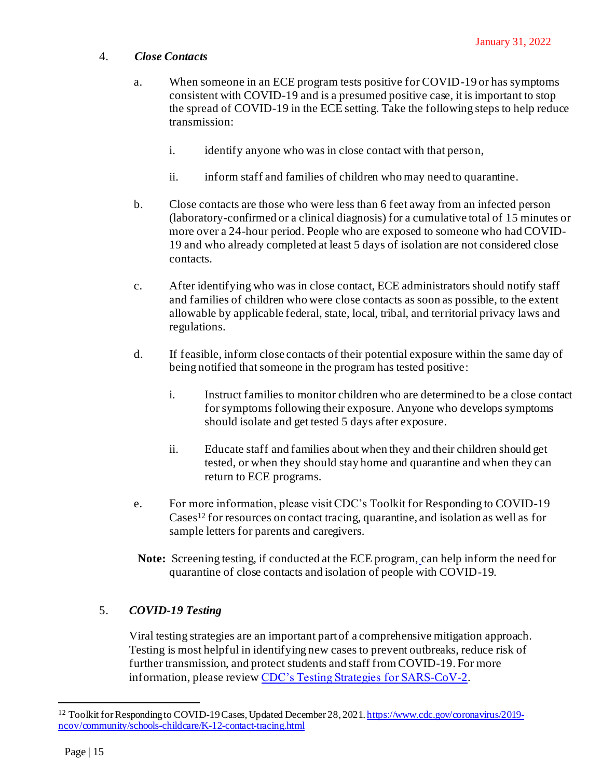#### 4. *Close Contacts*

- a. When someone in an ECE program tests positive for COVID-19 or has symptoms consistent with COVID-19 and is a presumed positive case, it is important to stop the spread of COVID-19 in the ECE setting. Take the following steps to help reduce transmission:
	- i. identify anyone who was in close contact with that person,
	- ii. inform staff and families of childre[n who may need to quarantine](https://www.cdc.gov/coronavirus/2019-ncov/community/schools-childcare/child-care-guidance.html#quarantine).
- b. [Close contacts are those who were less than 6 feet away from an infected person](https://www.cdc.gov/coronavirus/2019-ncov/php/contact-tracing/contact-tracing-plan/appendix.html#contact)  [\(laboratory-confirmed or a clinical diagnosis\) for a cumulative total of 15 minutes or](https://www.cdc.gov/coronavirus/2019-ncov/php/contact-tracing/contact-tracing-plan/appendix.html#contact)  [more over a 24-hour period](https://www.cdc.gov/coronavirus/2019-ncov/php/contact-tracing/contact-tracing-plan/appendix.html#contact). People who are exposed to someone who had COVID-19 and who already completed at least 5 days of isolation are not considered close contacts.
- c. After identifying who was in close contact, ECE administrators should notify staff and families of children who wer[e close contacts](https://www.cdc.gov/coronavirus/2019-ncov/php/contact-tracing/contact-tracing-plan/appendix.html#contact) as soon as possible, to the extent allowable by applicable federal, state, local, tribal, and territorial privacy laws and regulations.
- d. If feasible, inform close contacts of their potential exposure within the same day of being notified that someone in the program has tested positive:
	- i. Instruct families to monitor children who are determined to be a close contact for symptoms following their exposure. Anyone who develops symptoms should isolate and get tested 5 days after exposure.
	- ii. Educate staff and families about when they and their children should get tested, or when they should stay home and quarantine and when they can return to ECE programs.
- e. For more information, please visit CDC'[s Toolkit for Responding to COVID-19](https://www.cdc.gov/coronavirus/2019-ncov/community/schools-childcare/K-12-contact-tracing.html)  [Cases](https://www.cdc.gov/coronavirus/2019-ncov/community/schools-childcare/K-12-contact-tracing.html)<sup>12</sup> for resources on contact tracing, quarantine, and isolation as well as for sample letters for parents and caregivers.
- **Note:** [Screening testing, if conducted at the ECE program,](https://www.cdc.gov/coronavirus/2019-ncov/community/schools-childcare/child-care-guidance.html#screening) can help inform the need for quarantine of close contacts and isolation of people with COVID-19.

# 5. *COVID-19 Testing*

Viral testing strategies are an important part of a comprehensive mitigation approach. Testing is most helpful in identifying new cases to prevent outbreaks, reduce risk of further transmission, and protect students and staff from COVID-19. For more information, please revie[w CDC's Testing Strategies for SARS-CoV-2.](https://www.cdc.gov/coronavirus/2019-ncov/vaccines/stay-up-to-date.html)

<sup>&</sup>lt;sup>12</sup> Toolkit for Responding to COVID-19 Cases, Updated December 28, 202[1. https://www.cdc.gov/coronavirus/2019](https://www.cdc.gov/coronavirus/2019-ncov/community/schools-childcare/K-12-contact-tracing.html%22) [ncov/community/schools-childcare/K-12-contact-tracing.html](https://www.cdc.gov/coronavirus/2019-ncov/community/schools-childcare/K-12-contact-tracing.html%22)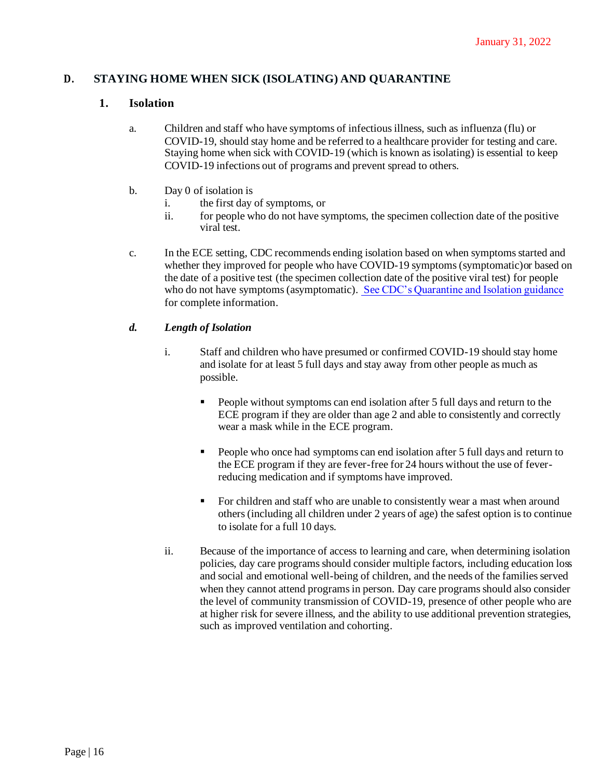#### **D. STAYING HOME WHEN SICK (ISOLATING) AND QUARANTINE**

#### **1. Isolation**

- a. Children and staff who have symptoms of infectious illness, such as influenza (flu) or COVID-19, should stay home and be referred to a healthcare provider for testing and care. Staying home when sick with COVID-19 (which is known as isolating) is essential to keep COVID-19 infections out of programs and prevent spread to others.
- b. Day 0 of isolation is
	- i. the first day of symptoms, or
	- ii. for people who do not have symptoms, the specimen collection date of the positive viral test.
- c. In the ECE setting, CDC recommends ending isolation based on when symptoms started and whether they improved for people who have COVID-19 symptoms (symptomatic)or based on the date of a positive test (the specimen collection date of the positive viral test) for people who do not have symptoms (asymptomatic)[. See CDC's Quarantine and Isolation guidance](https://www.cdc.gov/coronavirus/2019-ncov/your-health/quarantine-isolation.html) for complete information.

#### *d. Length of Isolation*

- i. Staff and children who have presumed or confirmed COVID-19 should stay home and isolate for at least 5 full days and stay away from other people as much as possible.
	- People without symptoms can end isolation after 5 full days and return to the ECE program if they are older than age 2 and able to consistently and correctly wear a mask while in the ECE program.
	- People who once had symptoms can end isolation after 5 full days and return to the ECE program if they are fever-free for 24 hours without the use of feverreducing medication and if symptoms have improved.
	- For children and staff who are unable to consistently wear a mast when around others (including all children under 2 years of age) the safest option is to continue to isolate for a full 10 days.
- ii. Because of the importance of access to learning and care, when determining isolation policies, day care programs should consider multiple factors, including education loss and social and emotional well-being of children, and the needs of the families served when they cannot attend programs in person. Day care programs should also consider the level of community transmission of COVID-19, presence of other people who are at higher risk for severe illness, and the ability to use additional prevention strategies, such as improved ventilation and cohorting.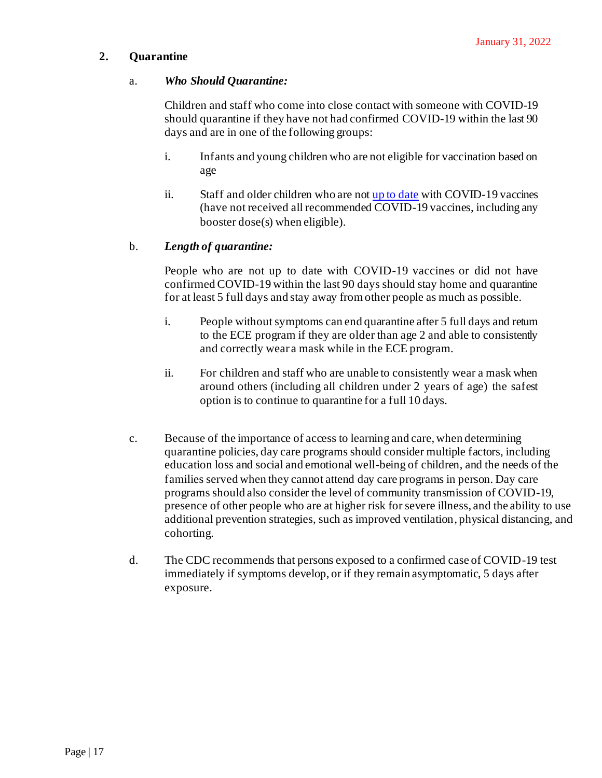### **2. Quarantine**

#### a. *Who Should Quarantine:*

Children and staff who come into close contact with someone with COVID-19 should quarantine if they have not had confirmed COVID-19 within the last 90 days and are in one of the following groups:

- i. Infants and young children who are not eligible for vaccination based on age
- ii. Staff and older children who are no[t up to date](https://www.cdc.gov/coronavirus/2019-ncov/vaccines/stay-up-to-date.html) with COVID-19 vaccines (have not received all recommended COVID-19 vaccines, including any booster dose(s) when eligible).

#### b. *Length of quarantine:*

People who are not up to date with COVID-19 vaccines or did not have confirmed COVID-19 within the last 90 days should stay home and quarantine for at least 5 full days and stay away from other people as much as possible.

- i. People without symptoms can end quarantine after 5 full days and return to the ECE program if they are older than age 2 and able to consistently and correctly wear a mask while in the ECE program.
- ii. For children and staff who are unable to consistently wear a mask when around others (including all children under 2 years of age) the safest option is to continue to quarantine for a full 10 days.
- c. Because of the importance of access to learning and care, when determining quarantine policies, day care programs should consider multiple factors, including education loss and social and emotional well-being of children, and the needs of the families served when they cannot attend day care programs in person. Day care programs should also consider the level of community transmission of COVID-19, presence of other people who are at higher risk for severe illness, and the ability to use additional prevention strategies, such as improved ventilation, physical distancing, and cohorting.
- d. The CDC recommends that persons exposed to a confirmed case of COVID-19 test immediately if symptoms develop, or if they remain asymptomatic, 5 days after exposure.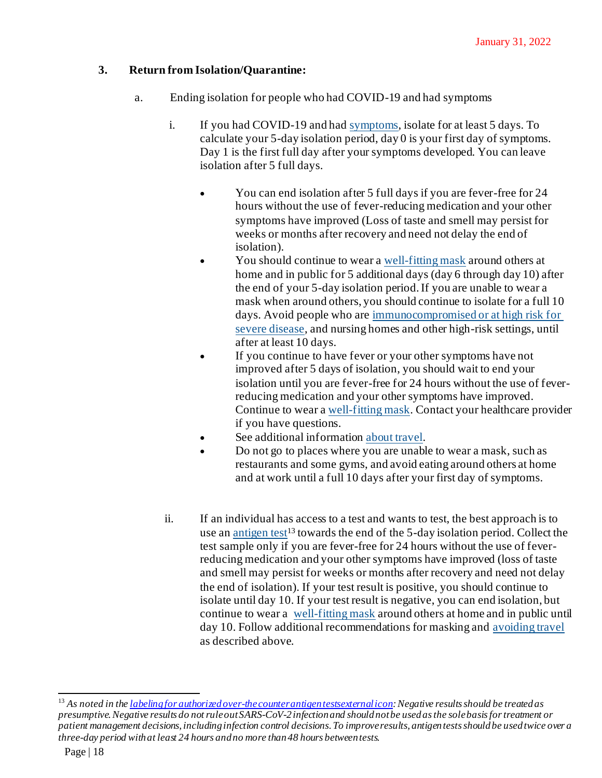# **3. Return from Isolation/Quarantine:**

- a. Ending isolation for people who had COVID-19 and had symptoms
	- i. If you had COVID-19 and had [symptoms](https://www.cdc.gov/coronavirus/2019-ncov/symptoms-testing/symptoms.html), isolate for at least 5 days. To calculate your 5-day isolation period, day 0 is your first day of symptoms. Day 1 is the first full day after your symptoms developed. You can leave isolation after 5 full days.
		- You can end isolation after 5 full days if you are fever-free for 24 hours without the use of fever-reducing medication and your other symptoms have improved (Loss of taste and smell may persist for weeks or months after recovery and need not delay the end of isolation).
		- You should continue to wear a [well-fitting mask](https://www.cdc.gov/coronavirus/2019-ncov/your-health/effective-masks.html) around others at home and in public for 5 additional days (day 6 through day 10) after the end of your 5-day isolation period. If you are unable to wear a mask when around others, you should continue to isolate for a full 10 days. Avoid people who are [immunocompromised or at high risk for](https://www.cdc.gov/coronavirus/2019-ncov/need-extra-precautions/people-with-medical-conditions.html)  [severe disease](https://www.cdc.gov/coronavirus/2019-ncov/need-extra-precautions/people-with-medical-conditions.html), and nursing homes and other high-risk settings, until after at least 10 days.
		- If you continue to have fever or your other symptoms have not improved after 5 days of isolation, you should wait to end your isolation until you are fever-free for 24 hours without the use of feverreducing medication and your other symptoms have improved. Continue to wear a [well-fitting mask.](https://www.cdc.gov/coronavirus/2019-ncov/your-health/effective-masks.html) Contact your healthcare provider if you have questions.
		- See additional information [about travel](https://www.cdc.gov/coronavirus/2019-ncov/travelers/index.html#do-not-travel).
		- Do not go to places where you are unable to wear a mask, such as restaurants and some gyms, and avoid eating around others at home and at work until a full 10 days after your first day of symptoms.
	- ii. If an individual has access to a test and wants to test, the best approach is to use an [antigen test](https://www.cdc.gov/coronavirus/2019-ncov/hcp/testing-overview.html)<sup>13</sup> towards the end of the 5-day isolation period. Collect the test sample only if you are fever-free for 24 hours without the use of feverreducing medication and your other symptoms have improved (loss of taste and smell may persist for weeks or months after recovery and need not delay the end of isolation). If your test result is positive, you should continue to isolate until day 10. If your test result is negative, you can end isolation, but continue to wear a [well-fitting mask](https://www.cdc.gov/coronavirus/2019-ncov/your-health/effective-masks.html) around others at home and in public until day 10. Follow additional recommendations for masking and [avoiding travel](https://www.cdc.gov/coronavirus/2019-ncov/travelers/index.html#do-not-travel) as described above.

<sup>13</sup> *As noted in the [labeling for authorized over-the counter antigen testsexternal icon](https://www.fda.gov/medical-devices/coronavirus-disease-2019-covid-19-emergency-use-authorizations-medical-devices/in-vitro-diagnostics-euas-antigen-diagnostic-tests-sars-cov-2): Negative results should be treated as presumptive. Negative results do not rule out SARS-CoV-2 infection and should not be used as the sole basis for treatment or patient management decisions, including infection control decisions. To improve results, antigen tests should be used twice over a three-day period with at least 24 hours and no more than 48 hours between tests.*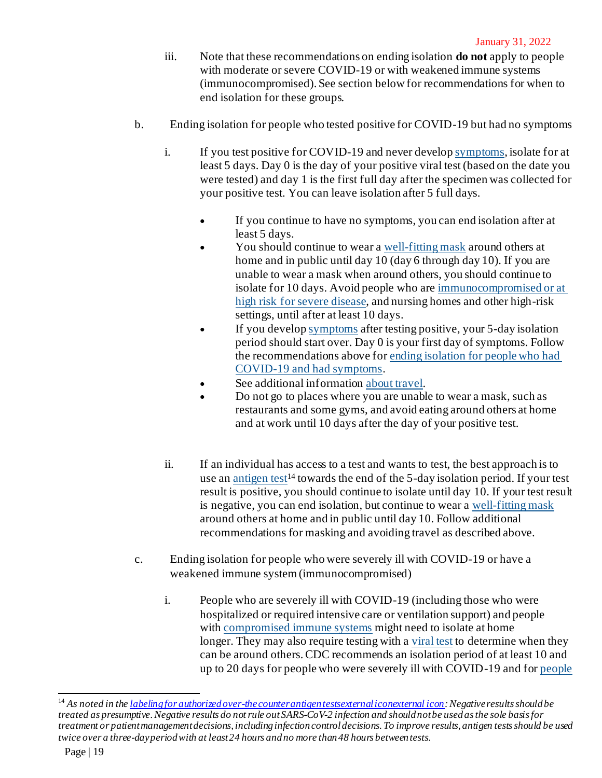- iii. Note that these recommendations on ending isolation **do not** apply to people with moderate or severe COVID-19 or with weakened immune systems (immunocompromised). See section below for recommendations for when to end isolation for these groups.
- b. Ending isolation for people who tested positive for COVID-19 but had no symptoms
	- i. If you test positive for COVID-19 and never develop [symptoms](https://www.cdc.gov/coronavirus/2019-ncov/symptoms-testing/symptoms.html), isolate for at least 5 days. Day 0 is the day of your positive viral test (based on the date you were tested) and day 1 is the first full day after the specimen was collected for your positive test. You can leave isolation after 5 full days.
		- If you continue to have no symptoms, you can end isolation after at least 5 days.
		- You should continue to wear a [well-fitting mask](https://www.cdc.gov/coronavirus/2019-ncov/your-health/effective-masks.html) around others at home and in public until day 10 (day 6 through day 10). If you are unable to wear a mask when around others, you should continue to isolate for 10 days. Avoid people who are [immunocompromised or at](https://www.cdc.gov/coronavirus/2019-ncov/need-extra-precautions/people-with-medical-conditions.html)  [high risk for severe disease](https://www.cdc.gov/coronavirus/2019-ncov/need-extra-precautions/people-with-medical-conditions.html), and nursing homes and other high-risk settings, until after at least 10 days.
		- If you develop [symptoms](https://www.cdc.gov/coronavirus/2019-ncov/symptoms-testing/symptoms.html) after testing positive, your 5-day isolation period should start over. Day 0 is your first day of symptoms. Follow the recommendations above for [ending isolation for people who had](https://www.cdc.gov/coronavirus/2019-ncov/travelers/index.html#do-not-travel)  [COVID-19 and had symptoms](https://www.cdc.gov/coronavirus/2019-ncov/travelers/index.html#do-not-travel).
		- See additional information [about travel](https://www.cdc.gov/coronavirus/2019-ncov/travelers/index.html#do-not-travel).
		- Do not go to places where you are unable to wear a mask, such as restaurants and some gyms, and avoid eating around others at home and at work until 10 days after the day of your positive test.
	- ii. If an individual has access to a test and wants to test, the best approach is to use an [antigen test](https://www.cdc.gov/coronavirus/2019-ncov/hcp/testing-overview.html)<sup>14</sup> towards the end of the 5-day isolation period. If your test result is positive, you should continue to isolate until day 10. If your test result is negative, you can end isolation, but continue to wear a [well-fitting mask](https://www.cdc.gov/coronavirus/2019-ncov/your-health/effective-masks.html) around others at home and in public until day 10. Follow additional recommendations for masking and avoiding travel as described above.
- c. Ending isolation for people who were severely ill with COVID-19 or have a weakened immune system (immunocompromised)
	- i. People who are severely ill with COVID-19 (including those who were hospitalized or required intensive care or ventilation support) and people with [compromised immune systems](https://www.cdc.gov/coronavirus/2019-ncov/need-extra-precautions/people-with-medical-conditions.html) might need to isolate at home longer. They may also require testing with a [viral test](https://www.cdc.gov/coronavirus/2019-ncov/testing/diagnostic-testing.html) to determine when they can be around others. CDC recommends an isolation period of at least 10 and up to 20 days for people who were severely ill with COVID-19 and for [people](https://www.cdc.gov/coronavirus/2019-ncov/need-extra-precautions/people-with-medical-conditions.html)

<sup>14</sup> *As noted in the [labeling for authorized over-the counter antigen testsexternal iconexternal icon](https://www.fda.gov/medical-devices/coronavirus-disease-2019-covid-19-emergency-use-authorizations-medical-devices/in-vitro-diagnostics-euas-antigen-diagnostic-tests-sars-cov-2): Negative results should be treated as presumptive. Negative results do not rule out SARS-CoV-2 infection and should not be used as the sole basis for treatment or patient management decisions, including infection control decisions. To improve results, antigen tests should be used twice over a three-day period with at least 24 hours and no more than 48 hours between tests.*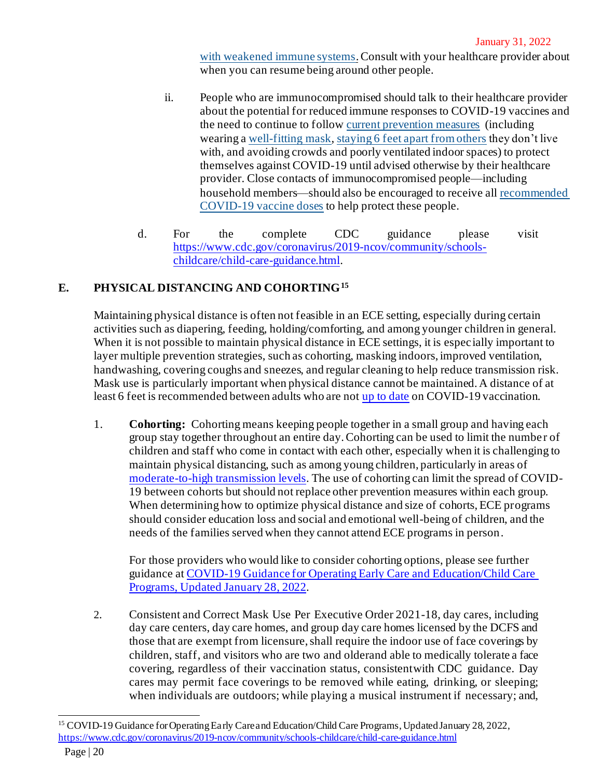[with weakened immune systems](https://www.cdc.gov/coronavirus/2019-ncov/need-extra-precautions/people-with-medical-conditions.html).Consult with your healthcare provider about when you can resume being around other people.

- ii. People who are immunocompromised should talk to their healthcare provider about the potential for reduced immune responses to COVID-19 vaccines and the need to continue to follow [current prevention measures](https://www.cdc.gov/coronavirus/2019-ncov/prevent-getting-sick/prevention.html)  (including wearing a [well-fitting mask,](https://www.cdc.gov/coronavirus/2019-ncov/your-health/effective-masks.html) [staying 6 feet apart from others](https://www.cdc.gov/coronavirus/2019-ncov/prevent-getting-sick/prevention.html#stay6ft) they don't live with, and avoiding crowds and poorly ventilated indoor spaces) to protect themselves against COVID-19 until advised otherwise by their healthcare provider. Close contacts of immunocompromised people—including household members—should also be encouraged to receive all [recommended](https://www.cdc.gov/coronavirus/2019-ncov/vaccines/booster-shot.html)  [COVID-19 vaccine doses](https://www.cdc.gov/coronavirus/2019-ncov/vaccines/booster-shot.html) to help protect these people.
- d. For the complete CDC guidance please visit [https://www.cdc.gov/coronavirus/2019-ncov/community/schools](https://www.cdc.gov/coronavirus/2019-ncov/community/schools-childcare/child-care-guidance.html)[childcare/child-care-guidance.html](https://www.cdc.gov/coronavirus/2019-ncov/community/schools-childcare/child-care-guidance.html).

# **E. PHYSICAL DISTANCING AND COHORTING<sup>15</sup>**

Maintaining physical distance is often not feasible in an ECE setting, especially during certain activities such as diapering, feeding, holding/comforting, and among younger children in general. When it is not possible to maintain physical distance in ECE settings, it is especially important to layer multiple prevention strategies, such as cohorting, masking indoors, improved ventilation, handwashing, covering coughs and sneezes, and regular cleaning to help reduce transmission risk. Mask use is particularly important when physical distance cannot be maintained. A distance of at least 6 feet is recommended between adults who are no[t up to date](https://www.cdc.gov/coronavirus/2019-ncov/vaccines/stay-up-to-date.html) on COVID-19 vaccination.

1. **Cohorting:** Cohorting means keeping people together in a small group and having each group stay together throughout an entire day. Cohorting can be used to limit the number of children and staff who come in contact with each other, especially when it is challenging to maintain physical distancing, such as among young children, particularly in areas of [moderate-to-high transmission levels](https://covid.cdc.gov/covid-data-tracker/#county-view). The use of cohorting can limit the spread of COVID-19 between cohorts but should not replace other prevention measures within each group. When determining how to optimize physical distance and size of cohorts, ECE programs should consider education loss and social and emotional well-being of children, and the needs of the families served when they cannot attend ECE programs in person.

For those providers who would like to consider cohorting options, please see further guidance a[t COVID-19 Guidance for Operating Early Care and Education/Child Care](https://www.cdc.gov/coronavirus/2019-ncov/community/schools-childcare/child-care-guidance.html)  [Programs, Updated January 28, 2022](https://www.cdc.gov/coronavirus/2019-ncov/community/schools-childcare/child-care-guidance.html).

2. Consistent and Correct Mask Use Per Executive Order 2021-18, day cares, including day care centers, day care homes, and group day care homes licensed by the DCFS and those that are exempt from licensure, shall require the indoor use of face coverings by children, staff, and visitors who are two and olderand able to medically tolerate a face covering, regardless of their vaccination status, consistentwith CDC guidance. Day cares may permit face coverings to be removed while eating, drinking, or sleeping; when individuals are outdoors; while playing a musical instrument if necessary; and,

<sup>&</sup>lt;sup>15</sup> COVID-19 Guidance for Operating Early Care and Education/Child Care Programs, Updated January 28, 2022, <https://www.cdc.gov/coronavirus/2019-ncov/community/schools-childcare/child-care-guidance.html>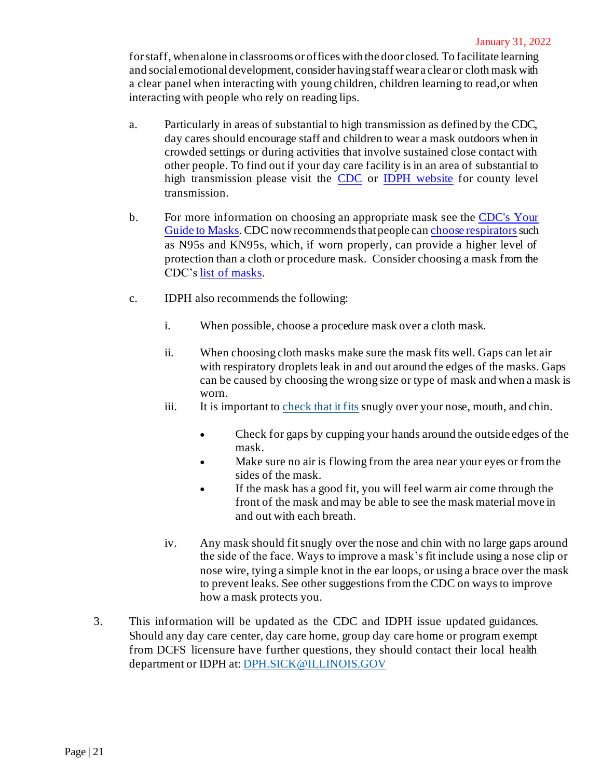for staff, when alone in classrooms or offices with the door closed. To facilitate learning and social emotional development, consider having staff wear a clear or cloth mask with a clear panel when interacting with young children, children learning to read,or when interacting with people who rely on reading lips.

- a. Particularly in areas of substantial to high transmission as defined by the CDC, day cares should encourage staff and children to wear a mask outdoors when in crowded settings or during activities that involve sustained close contact with other people. To find out if your day care facility is in an area of substantial to high transmission please visit the [CDC](https://covid.cdc.gov/covid-data-tracker/#county-view) or [IDPH website](https://www.dph.illinois.gov/countymetrics?county) for county level transmission.
- b. For more information on choosing an appropriate mask see the [CDC's Your](https://www.cdc.gov/coronavirus/2019-ncov/prevent-getting-sick/about-face-coverings.html)  [Guide to Masks.](https://www.cdc.gov/coronavirus/2019-ncov/prevent-getting-sick/about-face-coverings.html) CDC now recommends that people ca[n choose respirators](https://www.cdc.gov/coronavirus/2019-ncov/prevent-getting-sick/types-of-masks.html) such as N95s and KN95s, which, if worn properly, can provide a higher level of protection than a cloth or procedure mask. Consider choosing a mask from the CDC's [list of masks](https://www.cdc.gov/coronavirus/2019-ncov/community/schools-childcare/guidance-for-childcare.html).
- c. IDPH also recommends the following:
	- i. When possible, choose a procedure mask over a cloth mask.
	- ii. When choosing cloth masks make sure the mask fits well. Gaps can let air with respiratory droplets leak in and out around the edges of the masks. Gaps can be caused by choosing the wrong size or type of mask and when a mask is worn.
	- iii. It is important to [check that it fits](https://www.cdc.gov/coronavirus/2019-ncov/your-health/effective-masks.html) snugly over your nose, mouth, and chin.
		- Check for gaps by cupping your hands around the outside edges of the mask.
		- Make sure no air is flowing from the area near your eyes or from the sides of the mask.
		- If the mask has a good fit, you will feel warm air come through the front of the mask and may be able to see the mask material move in and out with each breath.
	- iv. Any mask should fit snugly over the nose and chin with no large gaps around the side of the face. Ways to improve a mask's fit include using a nose clip or nose wire, tying a simple knot in the ear loops, or using a brace over the mask to prevent leaks. See other suggestions from the CDC on ways to improve how a mask protects you.
- 3. This information will be updated as the CDC and IDPH issue updated guidances. Should any day care center, day care home, group day care home or program exempt from DCFS licensure have further questions, they should contact their local health department or IDPH at[: DPH.SICK@ILLINOIS.GOV](mailto:DPH.SICK@ILLINOIS.GOV)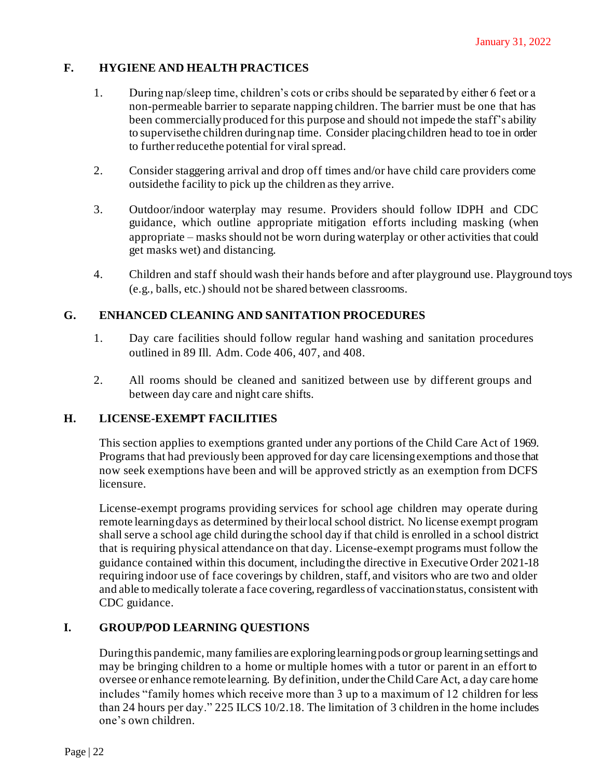# **F. HYGIENE AND HEALTH PRACTICES**

- 1. During nap/sleep time, children's cots or cribs should be separated by either 6 feet or a non-permeable barrier to separate napping children. The barrier must be one that has been commerciallyproduced for this purpose and should not impede the staff's ability to supervisethe children duringnap time. Consider placingchildren head to toe in order to further reduce the potential for viral spread.
- 2. Consider staggering arrival and drop off times and/or have child care providers come outsidethe facility to pick up the children as they arrive.
- 3. Outdoor/indoor waterplay may resume. Providers should follow IDPH and CDC guidance, which outline appropriate mitigation efforts including masking (when appropriate – masks should not be worn during waterplay or other activities that could get masks wet) and distancing.
- 4. Children and staff should wash their hands before and after playground use. Playground toys (e.g., balls, etc.) should not be shared between classrooms.

# **G. ENHANCED CLEANING AND SANITATION PROCEDURES**

- 1. Day care facilities should follow regular hand washing and sanitation procedures outlined in 89 Ill. Adm. Code 406, 407, and 408.
- 2. All rooms should be cleaned and sanitized between use by different groups and between day care and night care shifts.

#### **H. LICENSE-EXEMPT FACILITIES**

This section applies to exemptions granted under any portions of the Child Care Act of 1969. Programs that had previously been approved for day care licensingexemptions and those that now seek exemptions have been and will be approved strictly as an exemption from DCFS licensure.

License-exempt programs providing services for school age children may operate during remote learning days as determined by their local school district. No license exempt program shall serve a school age child duringthe school day if that child is enrolled in a school district that is requiring physical attendance on that day. License-exempt programs must follow the guidance contained within this document, includingthe directive in Executive Order 2021-18 requiring indoor use of face coverings by children, staff, and visitors who are two and older and able to medically tolerate a face covering, regardless of vaccination status, consistent with CDC guidance.

# **I. GROUP/POD LEARNING QUESTIONS**

Duringthis pandemic, many families are exploringlearningpods or group learningsettings and may be bringing children to a home or multiple homes with a tutor or parent in an effort to oversee or enhance remotelearning. By definition, undertheChild Care Act, a day care home includes "family homes which receive more than 3 up to a maximum of 12 children for less than 24 hours per day." 225 ILCS 10/2.18. The limitation of 3 children in the home includes one's own children.